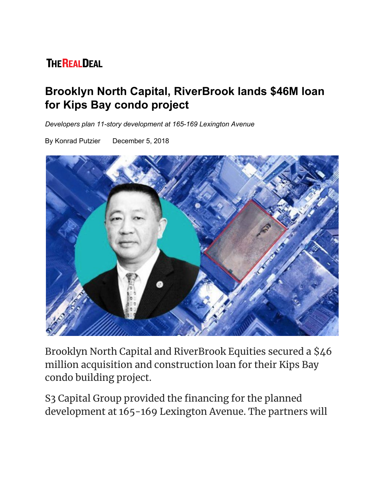## **THE REALDEAL**

## **Brooklyn North Capital, RiverBrook lands \$46M loan for Kips Bay condo project**

*Developers plan 11-story development at 165-169 Lexington Avenue*

By Konrad Putzier December 5, 2018



Brooklyn North Capital and RiverBrook Equities secured a \$46 million acquisition and construction loan for their Kips Bay condo building project.

S3 Capital Group provided the financing for the planned development at 165-169 Lexington Avenue. The partners will